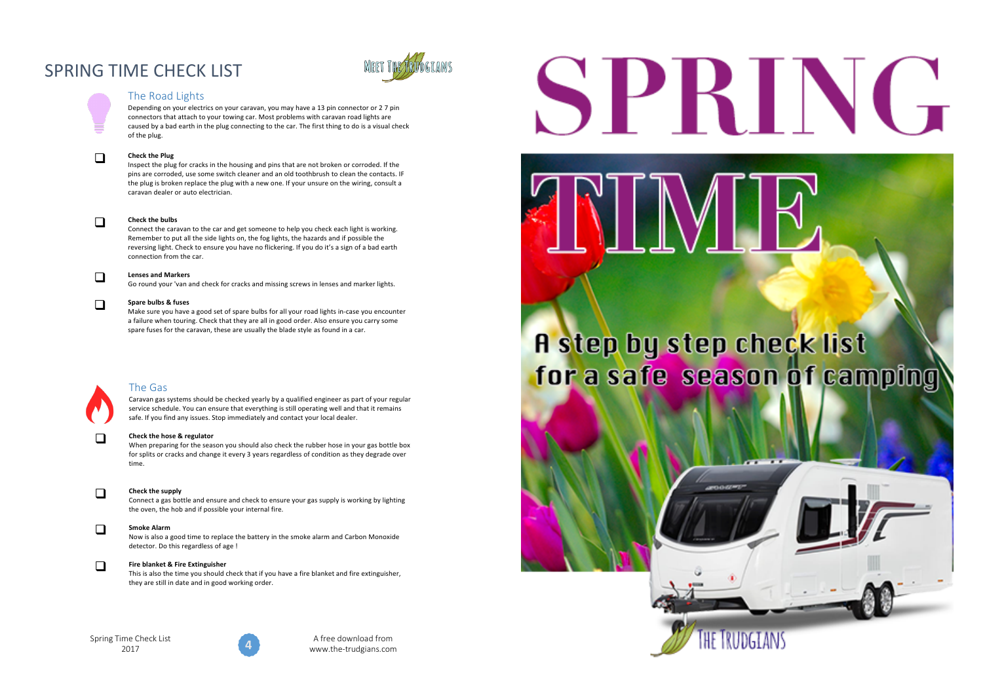# SPRING TIME CHECK LIST



# The Road Lights

Depending on your electrics on your caravan, you may have a 13 pin connector or 2 7 pin connectors that attach to your towing car. Most problems with caravan road lights are caused by a bad earth in the plug connecting to the car. The first thing to do is a visual check of the plug.

**Check the Plug**<br>
Inspect the plug for cracks in the housing and pins that are not broken or corroded. If the pins are corroded, use some switch cleaner and an old toothbrush to clean the contacts. IF the plug is broken replace the plug with a new one. If your unsure on the wiring, consult a caravan dealer or auto electrician. 

**Check the bulbs**<br> **Connect** the caravan to the car and get someone to help you check each light is working. Remember to put all the side lights on, the fog lights, the hazards and if possible the reversing light. Check to ensure you have no flickering. If you do it's a sign of a bad earth connection from the car.

# **Lenses and Markers**

Go round your 'van and check for cracks and missing screws in lenses and marker lights.

# **q** Spare bulbs & fuses

Make sure you have a good set of spare bulbs for all your road lights in-case you encounter a failure when touring. Check that they are all in good order. Also ensure you carry some spare fuses for the caravan, these are usually the blade style as found in a car.



# The Gas

Caravan gas systems should be checked yearly by a qualified engineer as part of your regular service schedule. You can ensure that everything is still operating well and that it remains safe. If you find any issues. Stop immediately and contact your local dealer.

# **The Check the hose & regulator**

When preparing for the season you should also check the rubber hose in your gas bottle box for splits or cracks and change it every 3 years regardless of condition as they degrade over time. 



# **Check the supply**

Connect a gas bottle and ensure and check to ensure your gas supply is working by lighting the oven, the hob and if possible your internal fire.

**Smoke Alarm**<br>
Now is also a good time to replace the battery in the smoke alarm and Carbon Monoxide detector. Do this regardless of age !

# **The Blanket & Fire Extinguisher**

This is also the time you should check that if you have a fire blanket and fire extinguisher, they are still in date and in good working order.

# Spring Time Check List 2017



A free download from www.the-trudgians.com

# SPRING

# A step by step check list for a safe season of camping